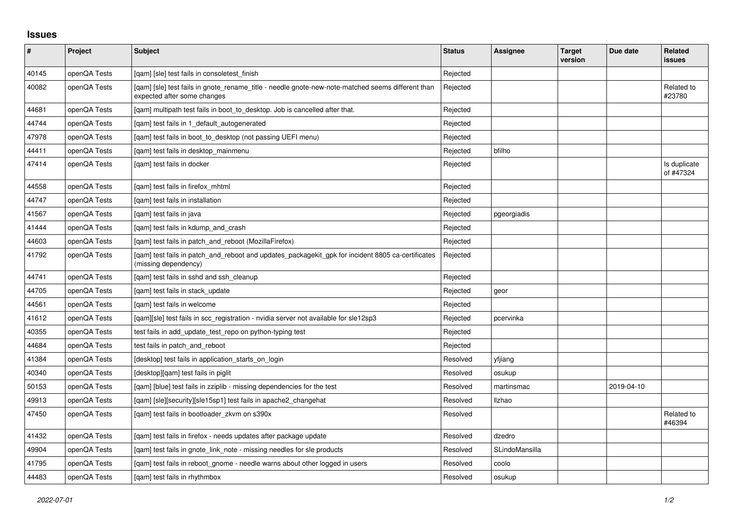## **Issues**

| $\pmb{\#}$ | Project      | <b>Subject</b>                                                                                                                   | <b>Status</b> | Assignee       | <b>Target</b><br>version | Due date   | Related<br><b>issues</b>  |
|------------|--------------|----------------------------------------------------------------------------------------------------------------------------------|---------------|----------------|--------------------------|------------|---------------------------|
| 40145      | openQA Tests | [gam] [sle] test fails in consoletest finish                                                                                     | Rejected      |                |                          |            |                           |
| 40082      | openQA Tests | [gam] [sle] test fails in gnote_rename_title - needle gnote-new-note-matched seems different than<br>expected after some changes | Rejected      |                |                          |            | Related to<br>#23780      |
| 44681      | openQA Tests | [qam] multipath test fails in boot_to_desktop. Job is cancelled after that.                                                      | Rejected      |                |                          |            |                           |
| 44744      | openQA Tests | [gam] test fails in 1 default autogenerated                                                                                      | Rejected      |                |                          |            |                           |
| 47978      | openQA Tests | [qam] test fails in boot_to_desktop (not passing UEFI menu)                                                                      | Rejected      |                |                          |            |                           |
| 44411      | openQA Tests | [qam] test fails in desktop_mainmenu                                                                                             | Rejected      | bfilho         |                          |            |                           |
| 47414      | openQA Tests | [gam] test fails in docker                                                                                                       | Rejected      |                |                          |            | Is duplicate<br>of #47324 |
| 44558      | openQA Tests | [qam] test fails in firefox_mhtml                                                                                                | Rejected      |                |                          |            |                           |
| 44747      | openQA Tests | [gam] test fails in installation                                                                                                 | Rejected      |                |                          |            |                           |
| 41567      | openQA Tests | [gam] test fails in java                                                                                                         | Rejected      | pgeorgiadis    |                          |            |                           |
| 41444      | openQA Tests | [qam] test fails in kdump_and_crash                                                                                              | Rejected      |                |                          |            |                           |
| 44603      | openQA Tests | [gam] test fails in patch and reboot (MozillaFirefox)                                                                            | Rejected      |                |                          |            |                           |
| 41792      | openQA Tests | [gam] test fails in patch and reboot and updates packagekit gpk for incident 8805 ca-certificates<br>(missing dependency)        | Rejected      |                |                          |            |                           |
| 44741      | openQA Tests | [qam] test fails in sshd and ssh_cleanup                                                                                         | Rejected      |                |                          |            |                           |
| 44705      | openQA Tests | [qam] test fails in stack_update                                                                                                 | Rejected      | geor           |                          |            |                           |
| 44561      | openQA Tests | [gam] test fails in welcome                                                                                                      | Rejected      |                |                          |            |                           |
| 41612      | openQA Tests | [qam][sle] test fails in scc_registration - nvidia server not available for sle12sp3                                             | Rejected      | pcervinka      |                          |            |                           |
| 40355      | openQA Tests | test fails in add update test repo on python-typing test                                                                         | Rejected      |                |                          |            |                           |
| 44684      | openQA Tests | test fails in patch and reboot                                                                                                   | Rejected      |                |                          |            |                           |
| 41384      | openQA Tests | [desktop] test fails in application starts on login                                                                              | Resolved      | yfjiang        |                          |            |                           |
| 40340      | openQA Tests | [desktop][qam] test fails in piglit                                                                                              | Resolved      | osukup         |                          |            |                           |
| 50153      | openQA Tests | [gam] [blue] test fails in zziplib - missing dependencies for the test                                                           | Resolved      | martinsmac     |                          | 2019-04-10 |                           |
| 49913      | openQA Tests | [gam] [sle][security][sle15sp1] test fails in apache2 changehat                                                                  | Resolved      | Ilzhao         |                          |            |                           |
| 47450      | openQA Tests | [qam] test fails in bootloader_zkvm on s390x                                                                                     | Resolved      |                |                          |            | Related to<br>#46394      |
| 41432      | openQA Tests | [gam] test fails in firefox - needs updates after package update                                                                 | Resolved      | dzedro         |                          |            |                           |
| 49904      | openQA Tests | [qam] test fails in gnote_link_note - missing needles for sle products                                                           | Resolved      | SLindoMansilla |                          |            |                           |
| 41795      | openQA Tests | [qam] test fails in reboot_gnome - needle warns about other logged in users                                                      | Resolved      | coolo          |                          |            |                           |
| 44483      | openQA Tests | [gam] test fails in rhythmbox                                                                                                    | Resolved      | osukup         |                          |            |                           |